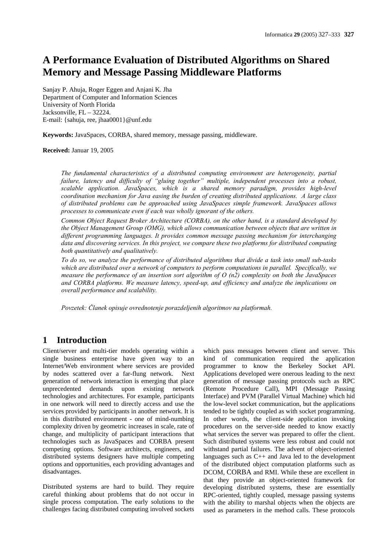# **A Performance Evaluation of Distributed Algorithms on Shared Memory and Message Passing Middleware Platforms**

Sanjay P. Ahuja, Roger Eggen and Anjani K. Jha Department of Computer and Information Sciences University of North Florida Jacksonville, FL – 32224. E-mail: {sahuja, ree, jhaa0001}@unf.edu

**Keywords:** JavaSpaces, CORBA, shared memory, message passing, middleware.

#### **Received:** Januar 19, 2005

*The fundamental characteristics of a distributed computing environment are heterogeneity, partial failure, latency and difficulty of "gluing together" multiple, independent processes into a robust, scalable application. JavaSpaces, which is a shared memory paradigm, provides high-level coordination mechanism for Java easing the burden of creating distributed applications. A large class of distributed problems can be approached using JavaSpaces simple framework. JavaSpaces allows processes to communicate even if each was wholly ignorant of the others.* 

*Common Object Request Broker Architecture (CORBA), on the other hand, is a standard developed by the Object Management Group (OMG), which allows communication between objects that are written in different programming languages. It provides common message passing mechanism for interchanging data and discovering services. In this project, we compare these two platforms for distributed computing both quantitatively and qualitatively.* 

*To do so, we analyze the performance of distributed algorithms that divide a task into small sub-tasks which are distributed over a network of computers to perform computations in parallel. Specifically, we measure the performance of an insertion sort algorithm of O (n2) complexity on both the JavaSpaces and CORBA platforms. We measure latency, speed-up, and efficiency and analyze the implications on overall performance and scalability.* 

*Povzetek: Članek opisuje ovrednotenje porazdeljenih algoritmov na platformah.* 

# **1 Introduction**

Client/server and multi-tier models operating within a single business enterprise have given way to an Internet/Web environment where services are provided by nodes scattered over a far-flung network. Next generation of network interaction is emerging that place unprecedented demands upon existing network technologies and architectures. For example, participants in one network will need to directly access and use the services provided by participants in another network. It is in this distributed environment - one of mind-numbing complexity driven by geometric increases in scale, rate of change, and multiplicity of participant interactions that technologies such as JavaSpaces and CORBA present competing options. Software architects, engineers, and distributed systems designers have multiple competing options and opportunities, each providing advantages and disadvantages.

Distributed systems are hard to build. They require careful thinking about problems that do not occur in single process computation. The early solutions to the challenges facing distributed computing involved sockets which pass messages between client and server. This kind of communication required the application programmer to know the Berkeley Socket API. Applications developed were onerous leading to the next generation of message passing protocols such as RPC (Remote Procedure Call), MPI (Message Passing Interface) and PVM (Parallel Virtual Machine) which hid the low-level socket communication, but the applications tended to be tightly coupled as with socket programming. In other words, the client-side application invoking procedures on the server-side needed to know exactly what services the server was prepared to offer the client. Such distributed systems were less robust and could not withstand partial failures. The advent of object-oriented languages such as C++ and Java led to the development of the distributed object computation platforms such as DCOM, CORBA and RMI. While these are excellent in that they provide an object-oriented framework for developing distributed systems, these are essentially RPC-oriented, tightly coupled, message passing systems with the ability to marshal objects when the objects are used as parameters in the method calls. These protocols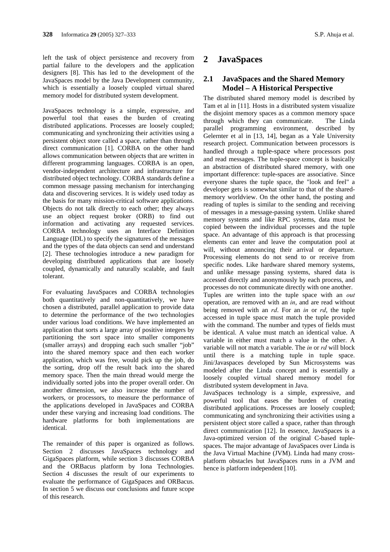left the task of object persistence and recovery from partial failure to the developers and the application designers [8]. This has led to the development of the JavaSpaces model by the Java Development community, which is essentially a loosely coupled virtual shared memory model for distributed system development.

JavaSpaces technology is a simple, expressive, and powerful tool that eases the burden of creating distributed applications. Processes are loosely coupled; communicating and synchronizing their activities using a persistent object store called a space, rather than through direct communication [1]. CORBA on the other hand allows communication between objects that are written in different programming languages. CORBA is an open, vendor-independent architecture and infrastructure for distributed object technology. CORBA standards define a common message passing mechanism for interchanging data and discovering services. It is widely used today as the basis for many mission-critical software applications. Objects do not talk directly to each other; they always use an object request broker (ORB) to find out information and activating any requested services. CORBA technology uses an Interface Definition Language (IDL) to specify the signatures of the messages and the types of the data objects can send and understand [2]. These technologies introduce a new paradigm for developing distributed applications that are loosely coupled, dynamically and naturally scalable, and fault tolerant.

For evaluating JavaSpaces and CORBA technologies both quantitatively and non-quantitatively, we have chosen a distributed, parallel application to provide data to determine the performance of the two technologies under various load conditions. We have implemented an application that sorts a large array of positive integers by partitioning the sort space into smaller components (smaller arrays) and dropping each such smaller "job" into the shared memory space and then each worker application, which was free, would pick up the job, do the sorting, drop off the result back into the shared memory space. Then the main thread would merge the individually sorted jobs into the proper overall order. On another dimension, we also increase the number of workers, or processors, to measure the performance of the applications developed in JavaSpaces and CORBA under these varying and increasing load conditions. The hardware platforms for both implementations are identical.

The remainder of this paper is organized as follows. Section 2 discusses JavaSpaces technology and GigaSpaces platform, while section 3 discusses CORBA and the ORBacus platform by Iona Technologies. Section 4 discusses the result of our experiments to evaluate the performance of GigaSpaces and ORBacus. In section 5 we discuss our conclusions and future scope of this research.

# **2 JavaSpaces**

# **2.1 JavaSpaces and the Shared Memory Model – A Historical Perspective**

The distributed shared memory model is described by Tam et al in [11]. Hosts in a distributed system visualize the disjoint memory spaces as a common memory space through which they can communicate. The Linda parallel programming environment, described by Gelernter et al in [13, 14], began as a Yale University research project. Communication between processors is handled through a tuple-space where processors post and read messages. The tuple-space concept is basically an abstraction of distributed shared memory, with one important difference: tuple-spaces are associative. Since everyone shares the tuple space, the "look and feel" a developer gets is somewhat similar to that of the sharedmemory worldview. On the other hand, the posting and reading of tuples is similar to the sending and receiving of messages in a message-passing system. Unlike shared memory systems and like RPC systems, data must be copied between the individual processes and the tuple space. An advantage of this approach is that processing elements can enter and leave the computation pool at will, without announcing their arrival or departure. Processing elements do not send to or receive from specific nodes. Like hardware shared memory systems, and unlike message passing systems, shared data is accessed directly and anonymously by each process, and processes do not communicate directly with one another. Tuples are written into the tuple space with an *out* operation, are removed with an *in*, and are read without being removed with an *rd*. For an *in* or *rd*, the tuple accessed in tuple space must match the tuple provided with the command. The number and types of fields must be identical. A value must match an identical value. A variable in either must match a value in the other. A variable will not match a variable. The *in* or *rd* will block until there is a matching tuple in tuple space. Jini/Javaspaces developed by Sun Microsystems was modeled after the Linda concept and is essentially a loosely coupled virtual shared memory model for distributed system development in Java.

JavaSpaces technology is a simple, expressive, and powerful tool that eases the burden of creating distributed applications. Processes are loosely coupled; communicating and synchronizing their activities using a persistent object store called a space, rather than through direct communication [12]. In essence, JavaSpaces is a Java-optimized version of the original C-based tuplespaces. The major advantage of JavaSpaces over Linda is the Java Virtual Machine (JVM). Linda had many crossplatform obstacles but JavaSpaces runs in a JVM and hence is platform independent [10].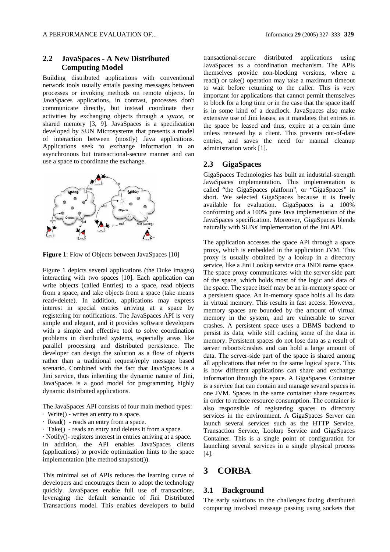### **2.2 JavaSpaces - A New Distributed Computing Model**

Building distributed applications with conventional network tools usually entails passing messages between processes or invoking methods on remote objects. In JavaSpaces applications, in contrast, processes don't communicate directly, but instead coordinate their activities by exchanging objects through a *space,* or shared memory [3, 9]. JavaSpaces is a specification developed by SUN Microsystems that presents a model of interaction between (mostly) Java applications. Applications seek to exchange information in an asynchronous but transactional-secure manner and can use a space to coordinate the exchange.



**Figure 1**: Flow of Objects between JavaSpaces [10]

Figure 1 depicts several applications (the Duke images) interacting with two spaces [10]. Each application can write objects (called Entries) to a space, read objects from a space, and take objects from a space (take means read+delete). In addition, applications may express interest in special entries arriving at a space by registering for notifications. The JavaSpaces API is very simple and elegant, and it provides software developers with a simple and effective tool to solve coordination problems in distributed systems, especially areas like parallel processing and distributed persistence. The developer can design the solution as a flow of objects rather than a traditional request/reply message based scenario. Combined with the fact that JavaSpaces is a Jini service, thus inheriting the dynamic nature of Jini, JavaSpaces is a good model for programming highly dynamic distributed applications.

The JavaSpaces API consists of four main method types:

- · Write() writes an entry to a space.
- · Read() reads an entry from a space.
- · Take() reads an entry and deletes it from a space.

· Notify()- registers interest in entries arriving at a space. In addition, the API enables JavaSpaces clients (applications) to provide optimization hints to the space implementation (the method snapshot()).

This minimal set of APIs reduces the learning curve of developers and encourages them to adopt the technology quickly. JavaSpaces enable full use of transactions, leveraging the default semantic of Jini Distributed Transactions model. This enables developers to build transactional-secure distributed applications using JavaSpaces as a coordination mechanism. The APIs themselves provide non-blocking versions, where a read() or take() operation may take a maximum timeout to wait before returning to the caller. This is very important for applications that cannot permit themselves to block for a long time or in the case that the space itself is in some kind of a deadlock. JavaSpaces also make extensive use of Jini leases, as it mandates that entries in the space be leased and thus, expire at a certain time unless renewed by a client. This prevents out-of-date entries, and saves the need for manual cleanup administration work [1].

#### **2.3 GigaSpaces**

GigaSpaces Technologies has built an industrial-strength JavaSpaces implementation. This implementation is called "the GigaSpaces platform", or "GigaSpaces" in short. We selected GigaSpaces because it is freely available for evaluation. GigaSpaces is a 100% conforming and a 100% pure Java implementation of the JavaSpaces specification. Moreover, GigaSpaces blends naturally with SUNs' implementation of the Jini API.

The application accesses the space API through a space proxy, which is embedded in the application JVM. This proxy is usually obtained by a lookup in a directory service, like a Jini Lookup service or a JNDI name space. The space proxy communicates with the server-side part of the space, which holds most of the logic and data of the space. The space itself may be an in-memory space or a persistent space. An in-memory space holds all its data in virtual memory. This results in fast access. However, memory spaces are bounded by the amount of virtual memory in the system, and are vulnerable to server crashes. A persistent space uses a DBMS backend to persist its data, while still caching some of the data in memory. Persistent spaces do not lose data as a result of server reboots/crashes and can hold a large amount of data. The server-side part of the space is shared among all applications that refer to the same logical space. This is how different applications can share and exchange information through the space. A GigaSpaces Container is a service that can contain and manage several spaces in one JVM. Spaces in the same container share resources in order to reduce resource consumption. The container is also responsible of registering spaces to directory services in the environment. A GigaSpaces Server can launch several services such as the HTTP Service, Transaction Service, Lookup Service and GigaSpaces Container. This is a single point of configuration for launching several services in a single physical process [4].

# **3 CORBA**

### **3.1 Background**

The early solutions to the challenges facing distributed computing involved message passing using sockets that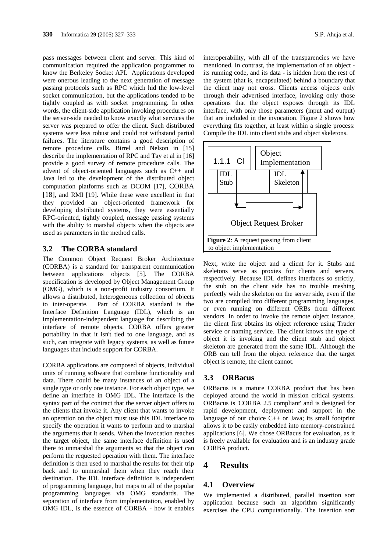pass messages between client and server. This kind of communication required the application programmer to know the Berkeley Socket API. Applications developed were onerous leading to the next generation of message passing protocols such as RPC which hid the low-level socket communication, but the applications tended to be tightly coupled as with socket programming. In other words, the client-side application invoking procedures on the server-side needed to know exactly what services the server was prepared to offer the client. Such distributed systems were less robust and could not withstand partial failures. The literature contains a good description of remote procedure calls. Birrel and Nelson in [15] describe the implementation of RPC and Tay et al in [16] provide a good survey of remote procedure calls. The advent of object-oriented languages such as C++ and Java led to the development of the distributed object computation platforms such as DCOM [17], CORBA [18], and RMI [19]. While these were excellent in that they provided an object-oriented framework for developing distributed systems, they were essentially RPC-oriented, tightly coupled, message passing systems with the ability to marshal objects when the objects are used as parameters in the method calls.

#### **3.2 The CORBA standard**

The Common Object Request Broker Architecture (CORBA) is a standard for transparent communication between applications objects [5]. The CORBA specification is developed by Object Management Group (OMG), which is a non-profit industry consortium. It allows a distributed, heterogeneous collection of objects to inter-operate. Part of CORBA standard is the Interface Definition Language (IDL), which is an implementation-independent language for describing the interface of remote objects. CORBA offers greater portability in that it isn't tied to one language, and as such, can integrate with legacy systems, as well as future languages that include support for CORBA.

CORBA applications are composed of objects, individual units of running software that combine functionality and data. There could be many instances of an object of a single type or only one instance. For each object type, we define an interface in OMG IDL. The interface is the syntax part of the contract that the server object offers to the clients that invoke it. Any client that wants to invoke an operation on the object must use this IDL interface to specify the operation it wants to perform and to marshal the arguments that it sends. When the invocation reaches the target object, the same interface definition is used there to unmarshal the arguments so that the object can perform the requested operation with them. The interface definition is then used to marshal the results for their trip back and to unmarshal them when they reach their destination. The IDL interface definition is independent of programming language, but maps to all of the popular programming languages via OMG standards. The separation of interface from implementation, enabled by OMG IDL, is the essence of CORBA - how it enables interoperability, with all of the transparencies we have mentioned. In contrast, the implementation of an object its running code, and its data - is hidden from the rest of the system (that is, encapsulated) behind a boundary that the client may not cross. Clients access objects only through their advertised interface, invoking only those operations that the object exposes through its IDL interface, with only those parameters (input and output) that are included in the invocation. Figure 2 shows how everything fits together, at least within a single process: Compile the IDL into client stubs and object skeletons.



Next, write the object and a client for it. Stubs and skeletons serve as proxies for clients and servers, respectively. Because IDL defines interfaces so strictly, the stub on the client side has no trouble meshing perfectly with the skeleton on the server side, even if the two are compiled into different programming languages, or even running on different ORBs from different vendors. In order to invoke the remote object instance, the client first obtains its object reference using Trader service or naming service. The client knows the type of object it is invoking and the client stub and object skeleton are generated from the same IDL. Although the ORB can tell from the object reference that the target object is remote, the client cannot.

#### **3.3 ORBacus**

ORBacus is a mature CORBA product that has been deployed around the world in mission critical systems. ORBacus is 'CORBA 2.5 compliant' and is designed for rapid development, deployment and support in the language of our choice C++ or Java; its small footprint allows it to be easily embedded into memory-constrained applications [6]. We chose ORBacus for evaluation, as it is freely available for evaluation and is an industry grade CORBA product.

# **4 Results**

#### **4.1 Overview**

We implemented a distributed, parallel insertion sort application because such an algorithm significantly exercises the CPU computationally. The insertion sort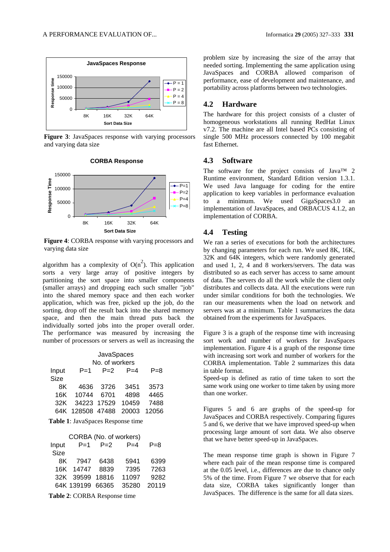

**Figure 3**: JavaSpaces response with varying processors and varying data size

**CORBA Response**



**Figure 4**: CORBA response with varying processors and varying data size

algorithm has a complexity of  $O(n^2)$ . This application sorts a very large array of positive integers by partitioning the sort space into smaller components (smaller arrays) and dropping each such smaller "job" into the shared memory space and then each worker application, which was free, picked up the job, do the sorting, drop off the result back into the shared memory space, and then the main thread puts back the individually sorted jobs into the proper overall order. The performance was measured by increasing the number of processors or servers as well as increasing the

|                                          | JavaSpaces<br>No. of workers |       |       |         |  |  |
|------------------------------------------|------------------------------|-------|-------|---------|--|--|
| Input                                    | $P = 1$                      | $P=2$ | $P=4$ | $P = 8$ |  |  |
| <b>Size</b>                              |                              |       |       |         |  |  |
| 8K                                       | 4636                         | 3726  | 3451  | 3573    |  |  |
| 16K                                      | 10744                        | 6701  | 4898  | 4465    |  |  |
| 32K                                      | 34223 17529                  |       | 10459 | 7488    |  |  |
| 64K                                      | 128508 47488                 |       | 20003 | 12056   |  |  |
| <b>Table 1: JavaSpaces Response time</b> |                              |       |       |         |  |  |

| CORBA (No. of workers) |                  |       |       |         |  |  |
|------------------------|------------------|-------|-------|---------|--|--|
| Input                  | $P=1$            | $P=2$ | $P=4$ | $P = 8$ |  |  |
| <b>Size</b>            |                  |       |       |         |  |  |
| 8K                     | 7947             | 6438  | 5941  | 6399    |  |  |
| 16K                    | 14747            | 8839  | 7395  | 7263    |  |  |
|                        | 32K 39599 18816  |       | 11097 | 9282    |  |  |
|                        | 64K 139199 66365 |       | 35280 | 20119   |  |  |
|                        |                  |       |       |         |  |  |

**Table 2**: CORBA Response time

problem size by increasing the size of the array that needed sorting. Implementing the same application using JavaSpaces and CORBA allowed comparison of performance, ease of development and maintenance, and portability across platforms between two technologies.

#### **4.2 Hardware**

The hardware for this project consists of a cluster of homogeneous workstations all running RedHat Linux v7.2. The machine are all Intel based PCs consisting of single 500 MHz processors connected by 100 megabit fast Ethernet.

#### **4.3 Software**

The software for the project consists of Java<sup>TM</sup> 2 Runtime environment, Standard Edition version 1.3.1. We used Java language for coding for the entire application to keep variables in performance evaluation to a minimum. We used GigaSpaces3.0 an implementation of JavaSpaces, and ORBACUS 4.1.2, an implementation of CORBA.

## **4.4 Testing**

We ran a series of executions for both the architectures by changing parameters for each run. We used 8K, 16K, 32K and 64K integers, which were randomly generated and used 1, 2, 4 and 8 workers/servers. The data was distributed so as each server has access to same amount of data. The servers do all the work while the client only distributes and collects data. All the executions were run under similar conditions for both the technologies. We ran our measurements when the load on network and servers was at a minimum. Table 1 summarizes the data obtained from the experiments for JavaSpaces.

Figure 3 is a graph of the response time with increasing sort work and number of workers for JavaSpaces implementation. Figure 4 is a graph of the response time with increasing sort work and number of workers for the CORBA implementation. Table 2 summarizes this data in table format.

Speed-up is defined as ratio of time taken to sort the same work using one worker to time taken by using more than one worker.

Figures 5 and 6 are graphs of the speed-up for JavaSpaces and CORBA respectively. Comparing figures 5 and 6, we derive that we have improved speed-up when processing large amount of sort data. We also observe that we have better speed-up in JavaSpaces.

The mean response time graph is shown in Figure 7 where each pair of the mean response time is compared at the 0.05 level, i.e., differences are due to chance only 5% of the time. From Figure 7 we observe that for each data size, CORBA takes significantly longer than JavaSpaces. The difference is the same for all data sizes.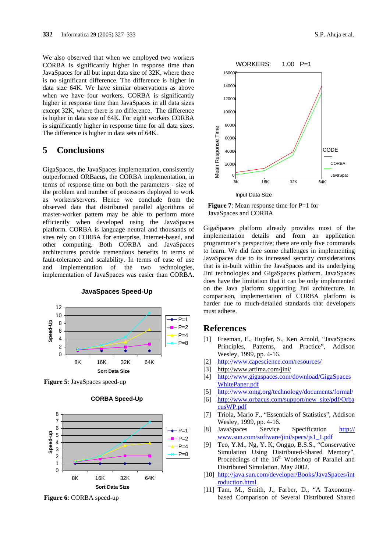We also observed that when we employed two workers CORBA is significantly higher in response time than JavaSpaces for all but input data size of 32K, where there is no significant difference. The difference is higher in data size 64K. We have similar observations as above when we have four workers. CORBA is significantly higher in response time than JavaSpaces in all data sizes except 32K, where there is no difference. The difference is higher in data size of 64K. For eight workers CORBA is significantly higher in response time for all data sizes. The difference is higher in data sets of 64K.

# **5 Conclusions**

GigaSpaces, the JavaSpaces implementation, consistently outperformed ORBacus, the CORBA implementation, in terms of response time on both the parameters - size of the problem and number of processors deployed to work as workers/servers. Hence we conclude from the observed data that distributed parallel algorithms of master-worker pattern may be able to perform more efficiently when developed using the JavaSpaces platform. CORBA is language neutral and thousands of sites rely on CORBA for enterprise, Internet-based, and other computing. Both CORBA and JavaSpaces architectures provide tremendous benefits in terms of fault-tolerance and scalability. In terms of ease of use and implementation of the two technologies, implementation of JavaSpaces was easier than CORBA.



**JavaSpaces Speed-Up**

**Figure 5**: JavaSpaces speed-up

#### **CORBA Speed-Up**



**Figure 6**: CORBA speed-up



**Figure 7**: Mean response time for P=1 for JavaSpaces and CORBA

GigaSpaces platform already provides most of the implementation details and from an application programmer's perspective; there are only five commands to learn. We did face some challenges in implementing JavaSpaces due to its increased security considerations that is in-built within the JavaSpaces and its underlying Jini technologies and GigaSpaces platform. JavaSpaces does have the limitation that it can be only implemented on the Java platform supporting Jini architecture. In comparison, implementation of CORBA platform is harder due to much-detailed standards that developers must adhere.

### **References**

- [1] Freeman, E., Hupfer, S., Ken Arnold, "JavaSpaces Principles, Patterns, and Practice", Addison Wesley, 1999, pp. 4-16.
- [2] http://www.capescience.com/resources/
- [3] http://www.artima.com/jini/
- [4] http://www.gigaspaces.com/download/GigaSpaces WhitePaper.pdf
- [5] http://www.omg.org/technology/documents/formal/
- [6] http://www.orbacus.com/support/new\_site/pdf/Orba cusWP.pdf
- [7] Triola, Mario F., "Essentials of Statistics", Addison Wesley, 1999, pp. 4-16.
- [8] JavaSpaces Service Specification http:// www.sun.com/software/jini/specs/js1\_1.pdf
- [9] Teo, Y.M., Ng, Y. K, Onggo, B.S.S., "Conservative Simulation Using Distributed-Shared Memory", Proceedings of the 16<sup>th</sup> Workshop of Parallel and Distributed Simulation. May 2002.
- [10] http://java.sun.com/developer/Books/JavaSpaces/int roduction.html
- [11] Tam, M., Smith, J., Farber, D., "A Taxonomybased Comparison of Several Distributed Shared